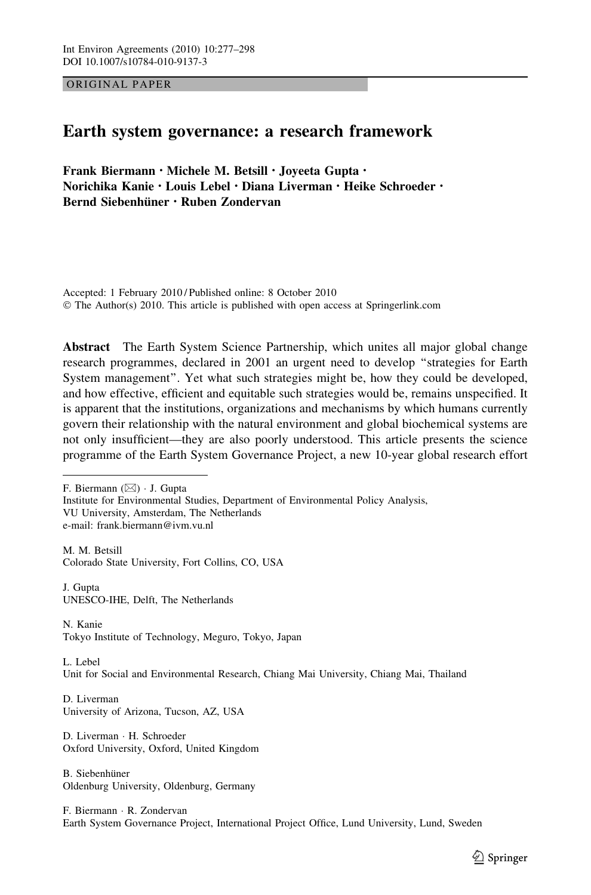ORIGINAL PAPER

# Earth system governance: a research framework

Frank Biermann • Michele M. Betsill • Joyeeta Gupta • Norichika Kanie • Louis Lebel • Diana Liverman • Heike Schroeder • Bernd Siebenhüner · Ruben Zondervan

Accepted: 1 February 2010 / Published online: 8 October 2010 © The Author(s) 2010. This article is published with open access at Springerlink.com

Abstract The Earth System Science Partnership, which unites all major global change research programmes, declared in 2001 an urgent need to develop ''strategies for Earth System management''. Yet what such strategies might be, how they could be developed, and how effective, efficient and equitable such strategies would be, remains unspecified. It is apparent that the institutions, organizations and mechanisms by which humans currently govern their relationship with the natural environment and global biochemical systems are not only insufficient—they are also poorly understood. This article presents the science programme of the Earth System Governance Project, a new 10-year global research effort

F. Biermann (&) - J. Gupta Institute for Environmental Studies, Department of Environmental Policy Analysis, VU University, Amsterdam, The Netherlands e-mail: frank.biermann@ivm.vu.nl

M. M. Betsill Colorado State University, Fort Collins, CO, USA

J. Gupta UNESCO-IHE, Delft, The Netherlands

N. Kanie Tokyo Institute of Technology, Meguro, Tokyo, Japan

L. Lebel Unit for Social and Environmental Research, Chiang Mai University, Chiang Mai, Thailand

#### D. Liverman University of Arizona, Tucson, AZ, USA

D. Liverman - H. Schroeder Oxford University, Oxford, United Kingdom

B. Siebenhüner Oldenburg University, Oldenburg, Germany

F. Biermann - R. Zondervan Earth System Governance Project, International Project Office, Lund University, Lund, Sweden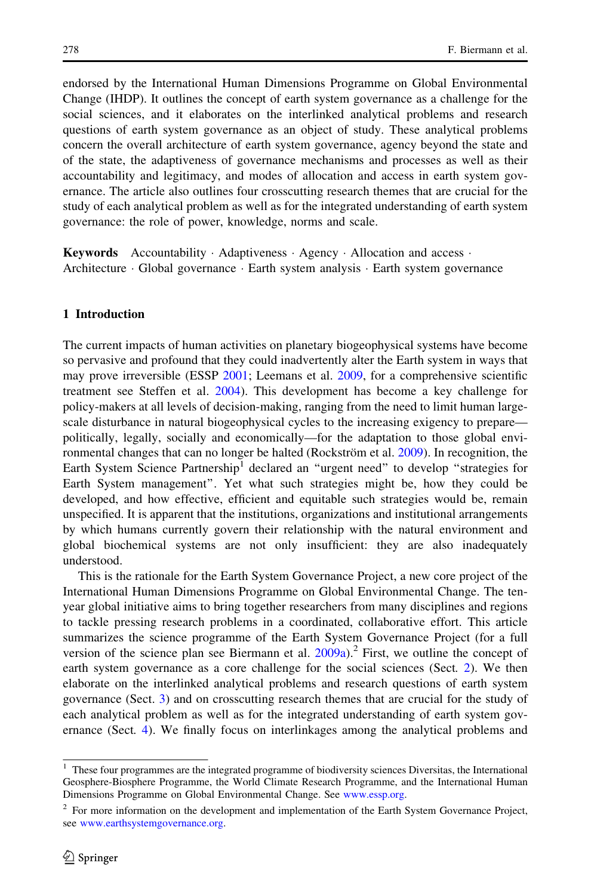endorsed by the International Human Dimensions Programme on Global Environmental Change (IHDP). It outlines the concept of earth system governance as a challenge for the social sciences, and it elaborates on the interlinked analytical problems and research questions of earth system governance as an object of study. These analytical problems concern the overall architecture of earth system governance, agency beyond the state and of the state, the adaptiveness of governance mechanisms and processes as well as their accountability and legitimacy, and modes of allocation and access in earth system governance. The article also outlines four crosscutting research themes that are crucial for the study of each analytical problem as well as for the integrated understanding of earth system governance: the role of power, knowledge, norms and scale.

Keywords Accountability · Adaptiveness · Agency · Allocation and access · Architecture · Global governance · Earth system analysis · Earth system governance

## 1 Introduction

The current impacts of human activities on planetary biogeophysical systems have become so pervasive and profound that they could inadvertently alter the Earth system in ways that may prove irreversible (ESSP [2001;](#page-17-0) Leemans et al. [2009,](#page-19-0) for a comprehensive scientific treatment see Steffen et al. [2004\)](#page-20-0). This development has become a key challenge for policy-makers at all levels of decision-making, ranging from the need to limit human largescale disturbance in natural biogeophysical cycles to the increasing exigency to prepare politically, legally, socially and economically—for the adaptation to those global envi-ronmental changes that can no longer be halted (Rockström et al. [2009\)](#page-20-0). In recognition, the Earth System Science Partnership<sup>1</sup> declared an "urgent need" to develop "strategies for Earth System management''. Yet what such strategies might be, how they could be developed, and how effective, efficient and equitable such strategies would be, remain unspecified. It is apparent that the institutions, organizations and institutional arrangements by which humans currently govern their relationship with the natural environment and global biochemical systems are not only insufficient: they are also inadequately understood.

This is the rationale for the Earth System Governance Project, a new core project of the International Human Dimensions Programme on Global Environmental Change. The tenyear global initiative aims to bring together researchers from many disciplines and regions to tackle pressing research problems in a coordinated, collaborative effort. This article summarizes the science programme of the Earth System Governance Project (for a full version of the science plan see Biermann et al.  $2009a$ <sup>2</sup>. First, we outline the concept of earth system governance as a core challenge for the social sciences (Sect. [2\)](#page-2-0). We then elaborate on the interlinked analytical problems and research questions of earth system governance (Sect. [3](#page-3-0)) and on crosscutting research themes that are crucial for the study of each analytical problem as well as for the integrated understanding of earth system governance (Sect. [4](#page-12-0)). We finally focus on interlinkages among the analytical problems and

<sup>1</sup> These four programmes are the integrated programme of biodiversity sciences Diversitas, the International Geosphere-Biosphere Programme, the World Climate Research Programme, and the International Human Dimensions Programme on Global Environmental Change. See [www.essp.org.](http://www.essp.org)

<sup>2</sup> For more information on the development and implementation of the Earth System Governance Project, see [www.earthsystemgovernance.org](http://www.earthsystemgovernance.org).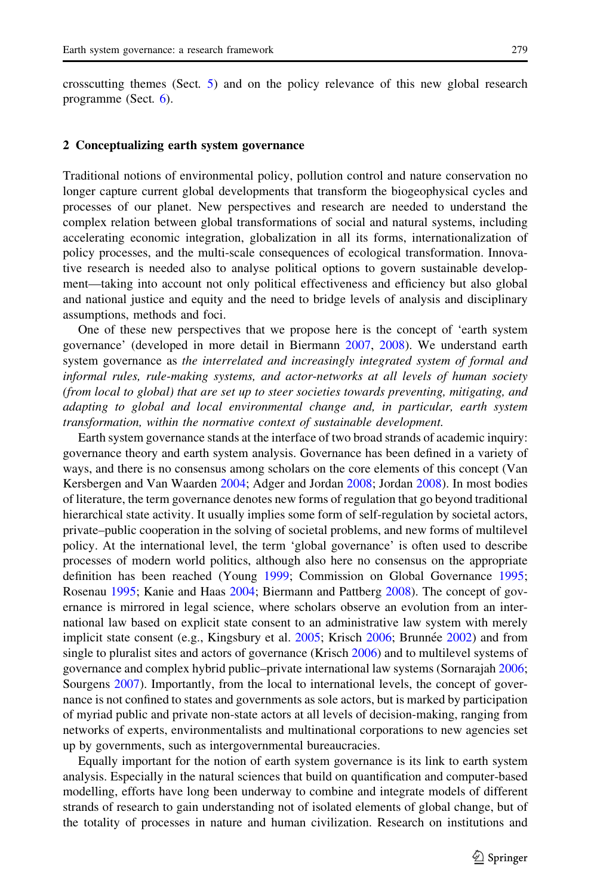<span id="page-2-0"></span>crosscutting themes (Sect. [5\)](#page-14-0) and on the policy relevance of this new global research programme (Sect. [6](#page-14-0)).

#### 2 Conceptualizing earth system governance

Traditional notions of environmental policy, pollution control and nature conservation no longer capture current global developments that transform the biogeophysical cycles and processes of our planet. New perspectives and research are needed to understand the complex relation between global transformations of social and natural systems, including accelerating economic integration, globalization in all its forms, internationalization of policy processes, and the multi-scale consequences of ecological transformation. Innovative research is needed also to analyse political options to govern sustainable development—taking into account not only political effectiveness and efficiency but also global and national justice and equity and the need to bridge levels of analysis and disciplinary assumptions, methods and foci.

One of these new perspectives that we propose here is the concept of 'earth system governance' (developed in more detail in Biermann [2007,](#page-16-0) [2008](#page-16-0)). We understand earth system governance as the interrelated and increasingly integrated system of formal and informal rules, rule-making systems, and actor-networks at all levels of human society (from local to global) that are set up to steer societies towards preventing, mitigating, and adapting to global and local environmental change and, in particular, earth system transformation, within the normative context of sustainable development.

Earth system governance stands at the interface of two broad strands of academic inquiry: governance theory and earth system analysis. Governance has been defined in a variety of ways, and there is no consensus among scholars on the core elements of this concept (Van Kersbergen and Van Waarden [2004;](#page-21-0) Adger and Jordan [2008;](#page-15-0) Jordan [2008\)](#page-18-0). In most bodies of literature, the term governance denotes new forms of regulation that go beyond traditional hierarchical state activity. It usually implies some form of self-regulation by societal actors, private–public cooperation in the solving of societal problems, and new forms of multilevel policy. At the international level, the term 'global governance' is often used to describe processes of modern world politics, although also here no consensus on the appropriate definition has been reached (Young [1999](#page-21-0); Commission on Global Governance [1995;](#page-17-0) Rosenau [1995](#page-20-0); Kanie and Haas [2004;](#page-18-0) Biermann and Pattberg [2008\)](#page-16-0). The concept of governance is mirrored in legal science, where scholars observe an evolution from an international law based on explicit state consent to an administrative law system with merely implicit state consent (e.g., Kingsbury et al. [2005](#page-19-0); Krisch [2006](#page-19-0); Brunnée [2002](#page-17-0)) and from single to pluralist sites and actors of governance (Krisch [2006\)](#page-19-0) and to multilevel systems of governance and complex hybrid public–private international law systems (Sornarajah [2006;](#page-20-0) Sourgens [2007\)](#page-20-0). Importantly, from the local to international levels, the concept of governance is not confined to states and governments as sole actors, but is marked by participation of myriad public and private non-state actors at all levels of decision-making, ranging from networks of experts, environmentalists and multinational corporations to new agencies set up by governments, such as intergovernmental bureaucracies.

Equally important for the notion of earth system governance is its link to earth system analysis. Especially in the natural sciences that build on quantification and computer-based modelling, efforts have long been underway to combine and integrate models of different strands of research to gain understanding not of isolated elements of global change, but of the totality of processes in nature and human civilization. Research on institutions and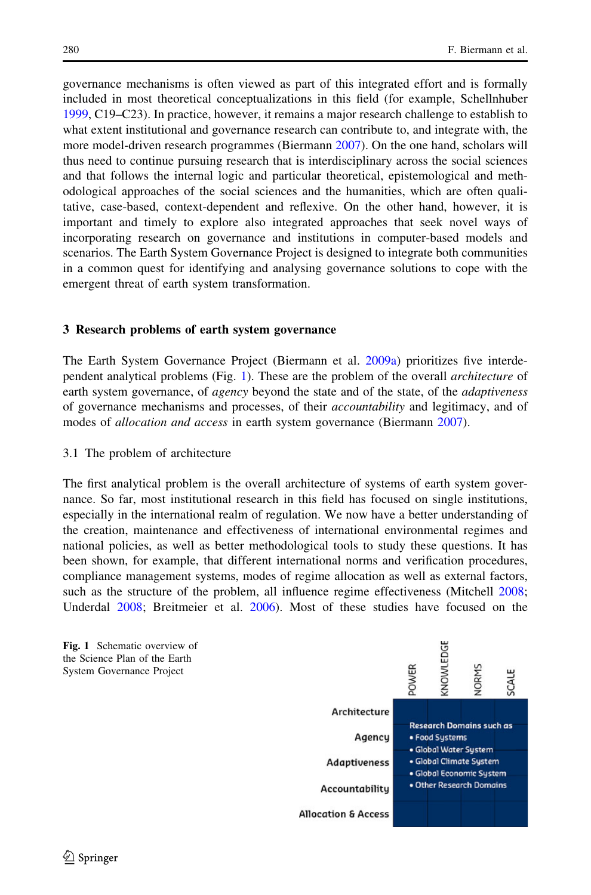<span id="page-3-0"></span>governance mechanisms is often viewed as part of this integrated effort and is formally included in most theoretical conceptualizations in this field (for example, Schellnhuber [1999,](#page-20-0) C19–C23). In practice, however, it remains a major research challenge to establish to what extent institutional and governance research can contribute to, and integrate with, the more model-driven research programmes (Biermann [2007\)](#page-16-0). On the one hand, scholars will thus need to continue pursuing research that is interdisciplinary across the social sciences and that follows the internal logic and particular theoretical, epistemological and methodological approaches of the social sciences and the humanities, which are often qualitative, case-based, context-dependent and reflexive. On the other hand, however, it is important and timely to explore also integrated approaches that seek novel ways of incorporating research on governance and institutions in computer-based models and scenarios. The Earth System Governance Project is designed to integrate both communities in a common quest for identifying and analysing governance solutions to cope with the emergent threat of earth system transformation.

# 3 Research problems of earth system governance

The Earth System Governance Project (Biermann et al. [2009a](#page-16-0)) prioritizes five interdependent analytical problems (Fig. 1). These are the problem of the overall architecture of earth system governance, of *agency* beyond the state and of the state, of the *adaptiveness* of governance mechanisms and processes, of their *accountability* and legitimacy, and of modes of *allocation and access* in earth system governance (Biermann [2007](#page-16-0)).

# 3.1 The problem of architecture

The first analytical problem is the overall architecture of systems of earth system governance. So far, most institutional research in this field has focused on single institutions, especially in the international realm of regulation. We now have a better understanding of the creation, maintenance and effectiveness of international environmental regimes and national policies, as well as better methodological tools to study these questions. It has been shown, for example, that different international norms and verification procedures, compliance management systems, modes of regime allocation as well as external factors, such as the structure of the problem, all influence regime effectiveness (Mitchell [2008;](#page-19-0) Underdal [2008](#page-21-0); Breitmeier et al. [2006\)](#page-16-0). Most of these studies have focused on the



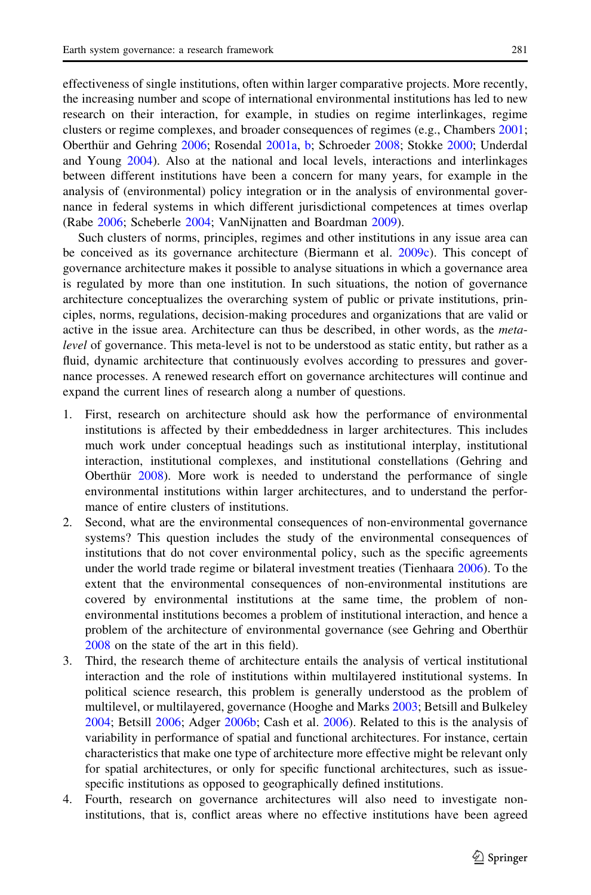effectiveness of single institutions, often within larger comparative projects. More recently, the increasing number and scope of international environmental institutions has led to new research on their interaction, for example, in studies on regime interlinkages, regime clusters or regime complexes, and broader consequences of regimes (e.g., Chambers [2001;](#page-17-0) Oberthür and Gehring [2006;](#page-19-0) Rosendal [2001a](#page-20-0), [b](#page-20-0); Schroeder [2008;](#page-20-0) Stokke [2000;](#page-20-0) Underdal and Young [2004\)](#page-21-0). Also at the national and local levels, interactions and interlinkages between different institutions have been a concern for many years, for example in the analysis of (environmental) policy integration or in the analysis of environmental governance in federal systems in which different jurisdictional competences at times overlap (Rabe [2006;](#page-20-0) Scheberle [2004;](#page-20-0) VanNijnatten and Boardman [2009](#page-21-0)).

Such clusters of norms, principles, regimes and other institutions in any issue area can be conceived as its governance architecture (Biermann et al. [2009c\)](#page-16-0). This concept of governance architecture makes it possible to analyse situations in which a governance area is regulated by more than one institution. In such situations, the notion of governance architecture conceptualizes the overarching system of public or private institutions, principles, norms, regulations, decision-making procedures and organizations that are valid or active in the issue area. Architecture can thus be described, in other words, as the metalevel of governance. This meta-level is not to be understood as static entity, but rather as a fluid, dynamic architecture that continuously evolves according to pressures and governance processes. A renewed research effort on governance architectures will continue and expand the current lines of research along a number of questions.

- 1. First, research on architecture should ask how the performance of environmental institutions is affected by their embeddedness in larger architectures. This includes much work under conceptual headings such as institutional interplay, institutional interaction, institutional complexes, and institutional constellations (Gehring and Oberthur [2008\)](#page-17-0). More work is needed to understand the performance of single environmental institutions within larger architectures, and to understand the performance of entire clusters of institutions.
- 2. Second, what are the environmental consequences of non-environmental governance systems? This question includes the study of the environmental consequences of institutions that do not cover environmental policy, such as the specific agreements under the world trade regime or bilateral investment treaties (Tienhaara [2006](#page-20-0)). To the extent that the environmental consequences of non-environmental institutions are covered by environmental institutions at the same time, the problem of nonenvironmental institutions becomes a problem of institutional interaction, and hence a problem of the architecture of environmental governance (see Gehring and Oberthu¨r [2008](#page-17-0) on the state of the art in this field).
- 3. Third, the research theme of architecture entails the analysis of vertical institutional interaction and the role of institutions within multilayered institutional systems. In political science research, this problem is generally understood as the problem of multilevel, or multilayered, governance (Hooghe and Marks [2003;](#page-18-0) Betsill and Bulkeley [2004](#page-16-0); Betsill [2006;](#page-16-0) Adger [2006b;](#page-15-0) Cash et al. [2006](#page-17-0)). Related to this is the analysis of variability in performance of spatial and functional architectures. For instance, certain characteristics that make one type of architecture more effective might be relevant only for spatial architectures, or only for specific functional architectures, such as issuespecific institutions as opposed to geographically defined institutions.
- 4. Fourth, research on governance architectures will also need to investigate noninstitutions, that is, conflict areas where no effective institutions have been agreed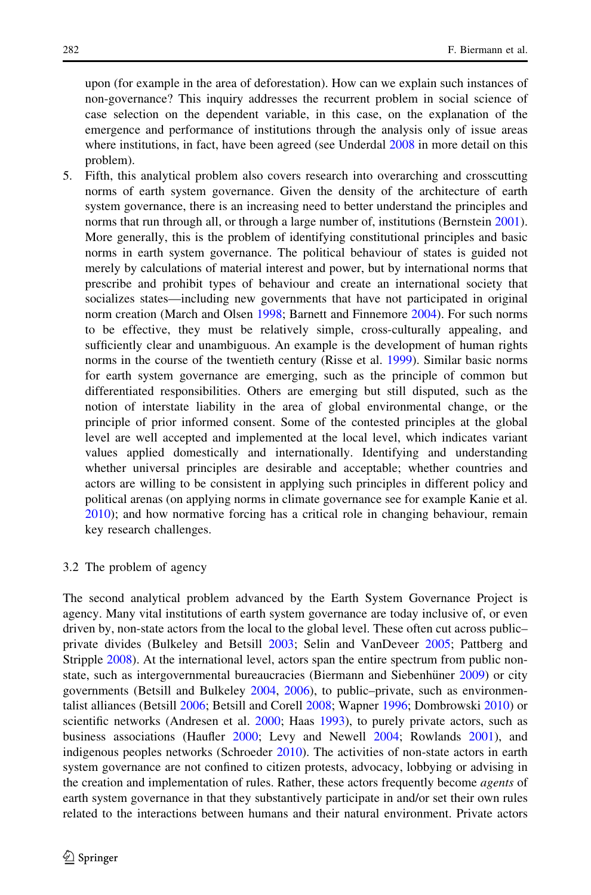upon (for example in the area of deforestation). How can we explain such instances of non-governance? This inquiry addresses the recurrent problem in social science of case selection on the dependent variable, in this case, on the explanation of the emergence and performance of institutions through the analysis only of issue areas where institutions, in fact, have been agreed (see Underdal [2008](#page-21-0) in more detail on this problem).

5. Fifth, this analytical problem also covers research into overarching and crosscutting norms of earth system governance. Given the density of the architecture of earth system governance, there is an increasing need to better understand the principles and norms that run through all, or through a large number of, institutions (Bernstein [2001](#page-16-0)). More generally, this is the problem of identifying constitutional principles and basic norms in earth system governance. The political behaviour of states is guided not merely by calculations of material interest and power, but by international norms that prescribe and prohibit types of behaviour and create an international society that socializes states—including new governments that have not participated in original norm creation (March and Olsen [1998;](#page-19-0) Barnett and Finnemore [2004\)](#page-16-0). For such norms to be effective, they must be relatively simple, cross-culturally appealing, and sufficiently clear and unambiguous. An example is the development of human rights norms in the course of the twentieth century (Risse et al. [1999\)](#page-20-0). Similar basic norms for earth system governance are emerging, such as the principle of common but differentiated responsibilities. Others are emerging but still disputed, such as the notion of interstate liability in the area of global environmental change, or the principle of prior informed consent. Some of the contested principles at the global level are well accepted and implemented at the local level, which indicates variant values applied domestically and internationally. Identifying and understanding whether universal principles are desirable and acceptable; whether countries and actors are willing to be consistent in applying such principles in different policy and political arenas (on applying norms in climate governance see for example Kanie et al. [2010](#page-18-0)); and how normative forcing has a critical role in changing behaviour, remain key research challenges.

# 3.2 The problem of agency

The second analytical problem advanced by the Earth System Governance Project is agency. Many vital institutions of earth system governance are today inclusive of, or even driven by, non-state actors from the local to the global level. These often cut across public– private divides (Bulkeley and Betsill [2003;](#page-17-0) Selin and VanDeveer [2005](#page-20-0); Pattberg and Stripple [2008](#page-20-0)). At the international level, actors span the entire spectrum from public non-state, such as intergovernmental bureaucracies (Biermann and Siebenhüner [2009\)](#page-16-0) or city governments (Betsill and Bulkeley [2004](#page-16-0), [2006](#page-16-0)), to public–private, such as environmentalist alliances (Betsill [2006;](#page-16-0) Betsill and Corell [2008;](#page-16-0) Wapner [1996](#page-21-0); Dombrowski [2010](#page-17-0)) or scientific networks (Andresen et al. [2000;](#page-15-0) Haas [1993\)](#page-18-0), to purely private actors, such as business associations (Haufler [2000](#page-18-0); Levy and Newell [2004;](#page-19-0) Rowlands [2001\)](#page-20-0), and indigenous peoples networks (Schroeder [2010\)](#page-20-0). The activities of non-state actors in earth system governance are not confined to citizen protests, advocacy, lobbying or advising in the creation and implementation of rules. Rather, these actors frequently become *agents* of earth system governance in that they substantively participate in and/or set their own rules related to the interactions between humans and their natural environment. Private actors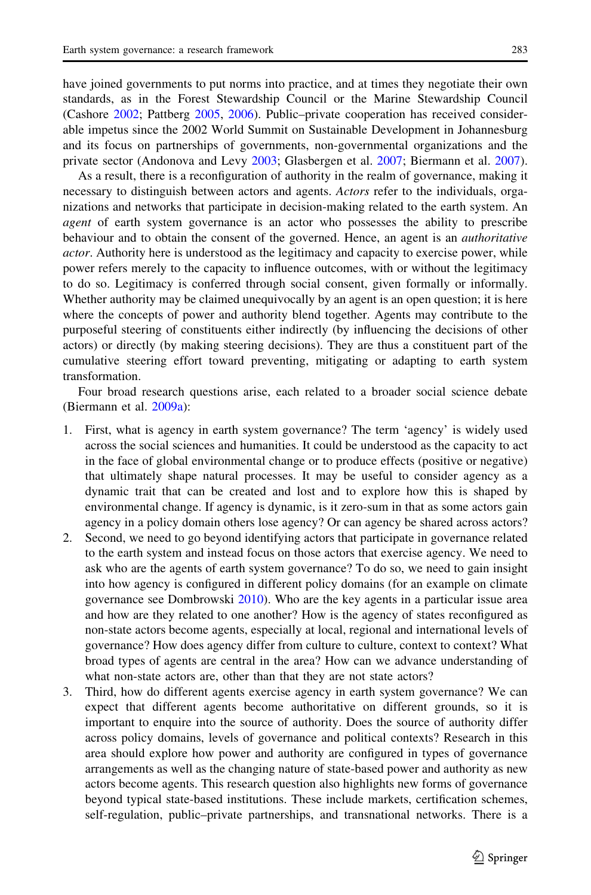have joined governments to put norms into practice, and at times they negotiate their own standards, as in the Forest Stewardship Council or the Marine Stewardship Council (Cashore [2002](#page-17-0); Pattberg [2005,](#page-20-0) [2006\)](#page-20-0). Public–private cooperation has received considerable impetus since the 2002 World Summit on Sustainable Development in Johannesburg and its focus on partnerships of governments, non-governmental organizations and the private sector (Andonova and Levy [2003](#page-15-0); Glasbergen et al. [2007](#page-18-0); Biermann et al. [2007](#page-16-0)).

As a result, there is a reconfiguration of authority in the realm of governance, making it necessary to distinguish between actors and agents. Actors refer to the individuals, organizations and networks that participate in decision-making related to the earth system. An *agent* of earth system governance is an actor who possesses the ability to prescribe behaviour and to obtain the consent of the governed. Hence, an agent is an *authoritative* actor. Authority here is understood as the legitimacy and capacity to exercise power, while power refers merely to the capacity to influence outcomes, with or without the legitimacy to do so. Legitimacy is conferred through social consent, given formally or informally. Whether authority may be claimed unequivocally by an agent is an open question; it is here where the concepts of power and authority blend together. Agents may contribute to the purposeful steering of constituents either indirectly (by influencing the decisions of other actors) or directly (by making steering decisions). They are thus a constituent part of the cumulative steering effort toward preventing, mitigating or adapting to earth system transformation.

Four broad research questions arise, each related to a broader social science debate (Biermann et al. [2009a](#page-16-0)):

- 1. First, what is agency in earth system governance? The term 'agency' is widely used across the social sciences and humanities. It could be understood as the capacity to act in the face of global environmental change or to produce effects (positive or negative) that ultimately shape natural processes. It may be useful to consider agency as a dynamic trait that can be created and lost and to explore how this is shaped by environmental change. If agency is dynamic, is it zero-sum in that as some actors gain agency in a policy domain others lose agency? Or can agency be shared across actors?
- 2. Second, we need to go beyond identifying actors that participate in governance related to the earth system and instead focus on those actors that exercise agency. We need to ask who are the agents of earth system governance? To do so, we need to gain insight into how agency is configured in different policy domains (for an example on climate governance see Dombrowski [2010](#page-17-0)). Who are the key agents in a particular issue area and how are they related to one another? How is the agency of states reconfigured as non-state actors become agents, especially at local, regional and international levels of governance? How does agency differ from culture to culture, context to context? What broad types of agents are central in the area? How can we advance understanding of what non-state actors are, other than that they are not state actors?
- 3. Third, how do different agents exercise agency in earth system governance? We can expect that different agents become authoritative on different grounds, so it is important to enquire into the source of authority. Does the source of authority differ across policy domains, levels of governance and political contexts? Research in this area should explore how power and authority are configured in types of governance arrangements as well as the changing nature of state-based power and authority as new actors become agents. This research question also highlights new forms of governance beyond typical state-based institutions. These include markets, certification schemes, self-regulation, public–private partnerships, and transnational networks. There is a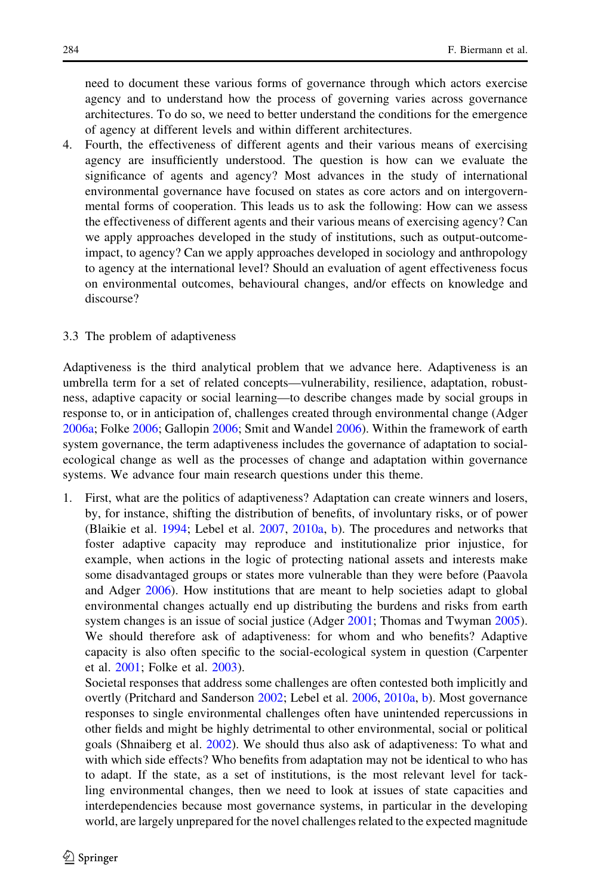need to document these various forms of governance through which actors exercise agency and to understand how the process of governing varies across governance architectures. To do so, we need to better understand the conditions for the emergence of agency at different levels and within different architectures.

4. Fourth, the effectiveness of different agents and their various means of exercising agency are insufficiently understood. The question is how can we evaluate the significance of agents and agency? Most advances in the study of international environmental governance have focused on states as core actors and on intergovernmental forms of cooperation. This leads us to ask the following: How can we assess the effectiveness of different agents and their various means of exercising agency? Can we apply approaches developed in the study of institutions, such as output-outcomeimpact, to agency? Can we apply approaches developed in sociology and anthropology to agency at the international level? Should an evaluation of agent effectiveness focus on environmental outcomes, behavioural changes, and/or effects on knowledge and discourse?

#### 3.3 The problem of adaptiveness

Adaptiveness is the third analytical problem that we advance here. Adaptiveness is an umbrella term for a set of related concepts—vulnerability, resilience, adaptation, robustness, adaptive capacity or social learning—to describe changes made by social groups in response to, or in anticipation of, challenges created through environmental change (Adger [2006a;](#page-15-0) Folke [2006;](#page-17-0) Gallopin [2006](#page-17-0); Smit and Wandel [2006](#page-20-0)). Within the framework of earth system governance, the term adaptiveness includes the governance of adaptation to socialecological change as well as the processes of change and adaptation within governance systems. We advance four main research questions under this theme.

1. First, what are the politics of adaptiveness? Adaptation can create winners and losers, by, for instance, shifting the distribution of benefits, of involuntary risks, or of power (Blaikie et al. [1994](#page-16-0); Lebel et al. [2007,](#page-19-0) [2010a,](#page-19-0) [b](#page-19-0)). The procedures and networks that foster adaptive capacity may reproduce and institutionalize prior injustice, for example, when actions in the logic of protecting national assets and interests make some disadvantaged groups or states more vulnerable than they were before (Paavola and Adger [2006](#page-19-0)). How institutions that are meant to help societies adapt to global environmental changes actually end up distributing the burdens and risks from earth system changes is an issue of social justice (Adger [2001;](#page-15-0) Thomas and Twyman [2005](#page-20-0)). We should therefore ask of adaptiveness: for whom and who benefits? Adaptive capacity is also often specific to the social-ecological system in question (Carpenter et al. [2001;](#page-17-0) Folke et al. [2003\)](#page-17-0).

Societal responses that address some challenges are often contested both implicitly and overtly (Pritchard and Sanderson [2002;](#page-20-0) Lebel et al. [2006,](#page-19-0) [2010a,](#page-19-0) [b\)](#page-19-0). Most governance responses to single environmental challenges often have unintended repercussions in other fields and might be highly detrimental to other environmental, social or political goals (Shnaiberg et al. [2002](#page-20-0)). We should thus also ask of adaptiveness: To what and with which side effects? Who benefits from adaptation may not be identical to who has to adapt. If the state, as a set of institutions, is the most relevant level for tackling environmental changes, then we need to look at issues of state capacities and interdependencies because most governance systems, in particular in the developing world, are largely unprepared for the novel challenges related to the expected magnitude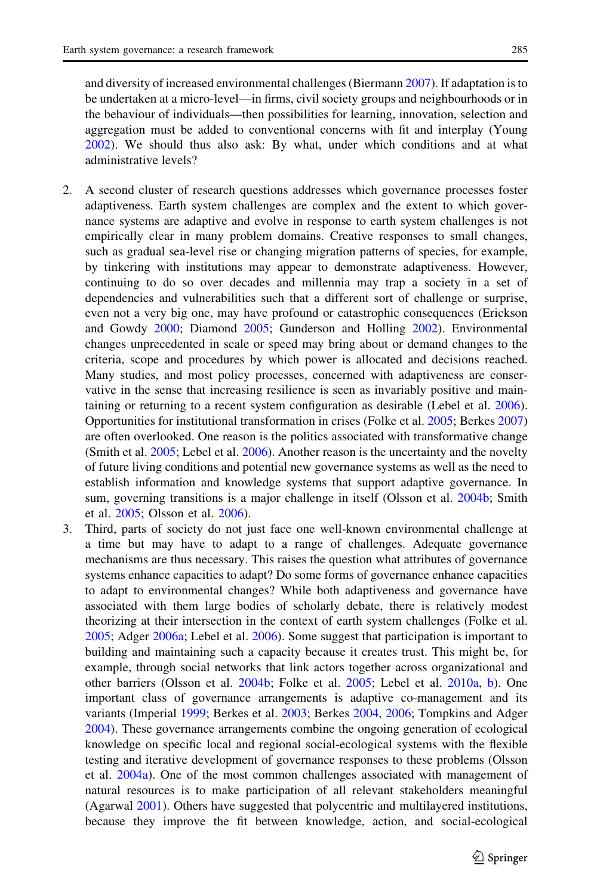and diversity of increased environmental challenges (Biermann [2007\)](#page-16-0). If adaptation is to be undertaken at a micro-level—in firms, civil society groups and neighbourhoods or in the behaviour of individuals—then possibilities for learning, innovation, selection and aggregation must be added to conventional concerns with fit and interplay (Young [2002](#page-21-0)). We should thus also ask: By what, under which conditions and at what administrative levels?

- 2. A second cluster of research questions addresses which governance processes foster adaptiveness. Earth system challenges are complex and the extent to which governance systems are adaptive and evolve in response to earth system challenges is not empirically clear in many problem domains. Creative responses to small changes, such as gradual sea-level rise or changing migration patterns of species, for example, by tinkering with institutions may appear to demonstrate adaptiveness. However, continuing to do so over decades and millennia may trap a society in a set of dependencies and vulnerabilities such that a different sort of challenge or surprise, even not a very big one, may have profound or catastrophic consequences (Erickson and Gowdy [2000;](#page-17-0) Diamond [2005](#page-17-0); Gunderson and Holling [2002\)](#page-18-0). Environmental changes unprecedented in scale or speed may bring about or demand changes to the criteria, scope and procedures by which power is allocated and decisions reached. Many studies, and most policy processes, concerned with adaptiveness are conservative in the sense that increasing resilience is seen as invariably positive and maintaining or returning to a recent system configuration as desirable (Lebel et al. [2006](#page-19-0)). Opportunities for institutional transformation in crises (Folke et al. [2005](#page-17-0); Berkes [2007](#page-16-0)) are often overlooked. One reason is the politics associated with transformative change (Smith et al. [2005;](#page-20-0) Lebel et al. [2006](#page-19-0)). Another reason is the uncertainty and the novelty of future living conditions and potential new governance systems as well as the need to establish information and knowledge systems that support adaptive governance. In sum, governing transitions is a major challenge in itself (Olsson et al. [2004b;](#page-19-0) Smith et al. [2005;](#page-20-0) Olsson et al. [2006](#page-19-0)).
- 3. Third, parts of society do not just face one well-known environmental challenge at a time but may have to adapt to a range of challenges. Adequate governance mechanisms are thus necessary. This raises the question what attributes of governance systems enhance capacities to adapt? Do some forms of governance enhance capacities to adapt to environmental changes? While both adaptiveness and governance have associated with them large bodies of scholarly debate, there is relatively modest theorizing at their intersection in the context of earth system challenges (Folke et al. [2005](#page-17-0); Adger [2006a;](#page-15-0) Lebel et al. [2006](#page-19-0)). Some suggest that participation is important to building and maintaining such a capacity because it creates trust. This might be, for example, through social networks that link actors together across organizational and other barriers (Olsson et al. [2004b](#page-19-0); Folke et al. [2005](#page-17-0); Lebel et al. [2010a](#page-19-0), [b](#page-19-0)). One important class of governance arrangements is adaptive co-management and its variants (Imperial [1999](#page-18-0); Berkes et al. [2003](#page-16-0); Berkes [2004,](#page-16-0) [2006;](#page-16-0) Tompkins and Adger [2004](#page-20-0)). These governance arrangements combine the ongoing generation of ecological knowledge on specific local and regional social-ecological systems with the flexible testing and iterative development of governance responses to these problems (Olsson et al. [2004a](#page-19-0)). One of the most common challenges associated with management of natural resources is to make participation of all relevant stakeholders meaningful (Agarwal [2001\)](#page-15-0). Others have suggested that polycentric and multilayered institutions, because they improve the fit between knowledge, action, and social-ecological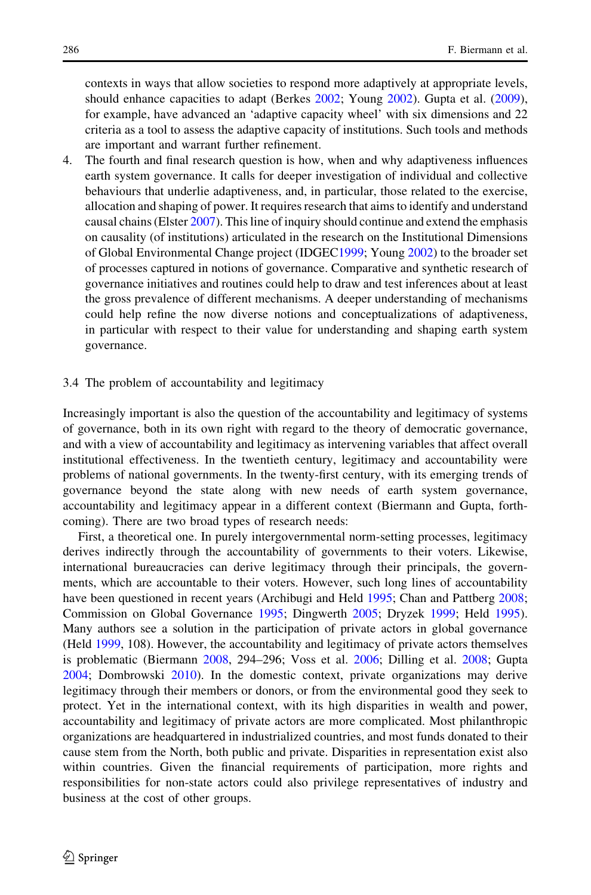contexts in ways that allow societies to respond more adaptively at appropriate levels, should enhance capacities to adapt (Berkes [2002](#page-16-0); Young [2002](#page-21-0)). Gupta et al. [\(2009](#page-18-0)), for example, have advanced an 'adaptive capacity wheel' with six dimensions and 22 criteria as a tool to assess the adaptive capacity of institutions. Such tools and methods are important and warrant further refinement.

4. The fourth and final research question is how, when and why adaptiveness influences earth system governance. It calls for deeper investigation of individual and collective behaviours that underlie adaptiveness, and, in particular, those related to the exercise, allocation and shaping of power. It requires research that aims to identify and understand causal chains (Elster [2007](#page-17-0)). This line of inquiry should continue and extend the emphasis on causality (of institutions) articulated in the research on the Institutional Dimensions of Global Environmental Change project (IDGEC[1999;](#page-18-0) Young [2002](#page-21-0)) to the broader set of processes captured in notions of governance. Comparative and synthetic research of governance initiatives and routines could help to draw and test inferences about at least the gross prevalence of different mechanisms. A deeper understanding of mechanisms could help refine the now diverse notions and conceptualizations of adaptiveness, in particular with respect to their value for understanding and shaping earth system governance.

# 3.4 The problem of accountability and legitimacy

Increasingly important is also the question of the accountability and legitimacy of systems of governance, both in its own right with regard to the theory of democratic governance, and with a view of accountability and legitimacy as intervening variables that affect overall institutional effectiveness. In the twentieth century, legitimacy and accountability were problems of national governments. In the twenty-first century, with its emerging trends of governance beyond the state along with new needs of earth system governance, accountability and legitimacy appear in a different context (Biermann and Gupta, forthcoming). There are two broad types of research needs:

First, a theoretical one. In purely intergovernmental norm-setting processes, legitimacy derives indirectly through the accountability of governments to their voters. Likewise, international bureaucracies can derive legitimacy through their principals, the governments, which are accountable to their voters. However, such long lines of accountability have been questioned in recent years (Archibugi and Held [1995;](#page-15-0) Chan and Pattberg [2008;](#page-17-0) Commission on Global Governance [1995](#page-17-0); Dingwerth [2005](#page-17-0); Dryzek [1999;](#page-17-0) Held [1995](#page-18-0)). Many authors see a solution in the participation of private actors in global governance (Held [1999,](#page-18-0) 108). However, the accountability and legitimacy of private actors themselves is problematic (Biermann [2008](#page-16-0), 294–296; Voss et al. [2006](#page-21-0); Dilling et al. [2008;](#page-17-0) Gupta [2004;](#page-18-0) Dombrowski [2010](#page-17-0)). In the domestic context, private organizations may derive legitimacy through their members or donors, or from the environmental good they seek to protect. Yet in the international context, with its high disparities in wealth and power, accountability and legitimacy of private actors are more complicated. Most philanthropic organizations are headquartered in industrialized countries, and most funds donated to their cause stem from the North, both public and private. Disparities in representation exist also within countries. Given the financial requirements of participation, more rights and responsibilities for non-state actors could also privilege representatives of industry and business at the cost of other groups.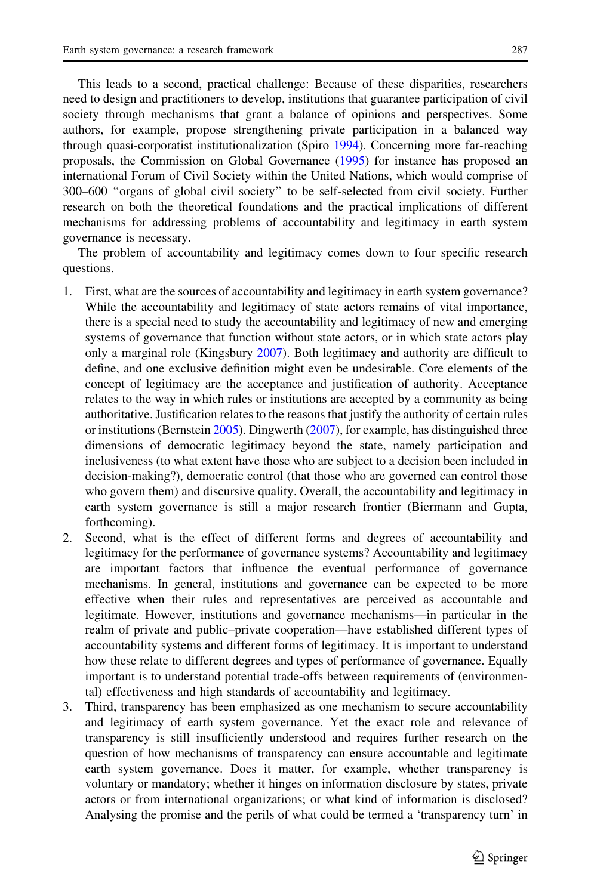This leads to a second, practical challenge: Because of these disparities, researchers need to design and practitioners to develop, institutions that guarantee participation of civil society through mechanisms that grant a balance of opinions and perspectives. Some authors, for example, propose strengthening private participation in a balanced way through quasi-corporatist institutionalization (Spiro [1994](#page-20-0)). Concerning more far-reaching proposals, the Commission on Global Governance ([1995\)](#page-17-0) for instance has proposed an international Forum of Civil Society within the United Nations, which would comprise of 300–600 ''organs of global civil society'' to be self-selected from civil society. Further research on both the theoretical foundations and the practical implications of different mechanisms for addressing problems of accountability and legitimacy in earth system governance is necessary.

The problem of accountability and legitimacy comes down to four specific research questions.

- 1. First, what are the sources of accountability and legitimacy in earth system governance? While the accountability and legitimacy of state actors remains of vital importance, there is a special need to study the accountability and legitimacy of new and emerging systems of governance that function without state actors, or in which state actors play only a marginal role (Kingsbury [2007](#page-19-0)). Both legitimacy and authority are difficult to define, and one exclusive definition might even be undesirable. Core elements of the concept of legitimacy are the acceptance and justification of authority. Acceptance relates to the way in which rules or institutions are accepted by a community as being authoritative. Justification relates to the reasons that justify the authority of certain rules or institutions (Bernstein [2005\)](#page-16-0). Dingwerth ([2007\)](#page-17-0), for example, has distinguished three dimensions of democratic legitimacy beyond the state, namely participation and inclusiveness (to what extent have those who are subject to a decision been included in decision-making?), democratic control (that those who are governed can control those who govern them) and discursive quality. Overall, the accountability and legitimacy in earth system governance is still a major research frontier (Biermann and Gupta, forthcoming).
- 2. Second, what is the effect of different forms and degrees of accountability and legitimacy for the performance of governance systems? Accountability and legitimacy are important factors that influence the eventual performance of governance mechanisms. In general, institutions and governance can be expected to be more effective when their rules and representatives are perceived as accountable and legitimate. However, institutions and governance mechanisms—in particular in the realm of private and public–private cooperation—have established different types of accountability systems and different forms of legitimacy. It is important to understand how these relate to different degrees and types of performance of governance. Equally important is to understand potential trade-offs between requirements of (environmental) effectiveness and high standards of accountability and legitimacy.
- 3. Third, transparency has been emphasized as one mechanism to secure accountability and legitimacy of earth system governance. Yet the exact role and relevance of transparency is still insufficiently understood and requires further research on the question of how mechanisms of transparency can ensure accountable and legitimate earth system governance. Does it matter, for example, whether transparency is voluntary or mandatory; whether it hinges on information disclosure by states, private actors or from international organizations; or what kind of information is disclosed? Analysing the promise and the perils of what could be termed a 'transparency turn' in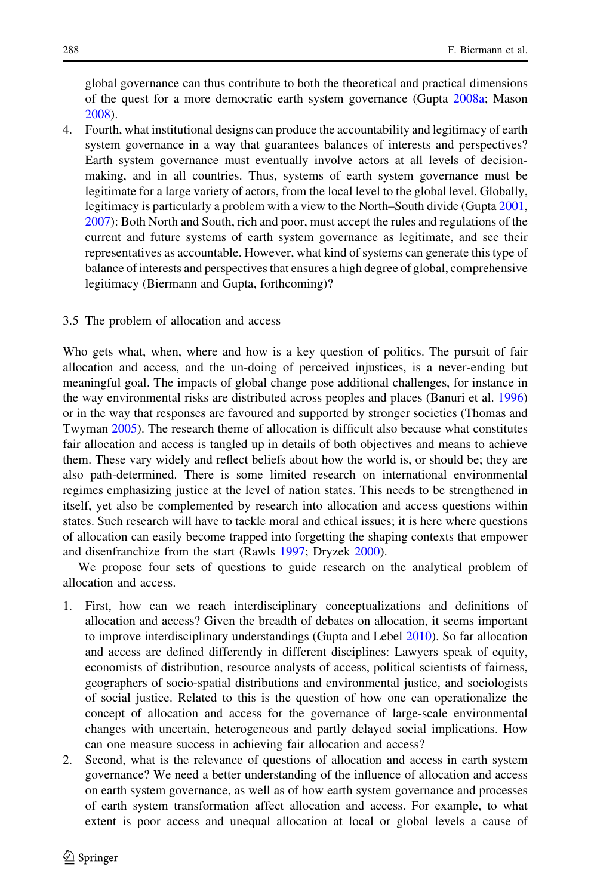global governance can thus contribute to both the theoretical and practical dimensions of the quest for a more democratic earth system governance (Gupta [2008a](#page-18-0); Mason [2008](#page-19-0)).

4. Fourth, what institutional designs can produce the accountability and legitimacy of earth system governance in a way that guarantees balances of interests and perspectives? Earth system governance must eventually involve actors at all levels of decisionmaking, and in all countries. Thus, systems of earth system governance must be legitimate for a large variety of actors, from the local level to the global level. Globally, legitimacy is particularly a problem with a view to the North–South divide (Gupta [2001](#page-18-0), [2007](#page-18-0)): Both North and South, rich and poor, must accept the rules and regulations of the current and future systems of earth system governance as legitimate, and see their representatives as accountable. However, what kind of systems can generate this type of balance of interests and perspectives that ensures a high degree of global, comprehensive legitimacy (Biermann and Gupta, forthcoming)?

### 3.5 The problem of allocation and access

Who gets what, when, where and how is a key question of politics. The pursuit of fair allocation and access, and the un-doing of perceived injustices, is a never-ending but meaningful goal. The impacts of global change pose additional challenges, for instance in the way environmental risks are distributed across peoples and places (Banuri et al. [1996](#page-16-0)) or in the way that responses are favoured and supported by stronger societies (Thomas and Twyman [2005](#page-20-0)). The research theme of allocation is difficult also because what constitutes fair allocation and access is tangled up in details of both objectives and means to achieve them. These vary widely and reflect beliefs about how the world is, or should be; they are also path-determined. There is some limited research on international environmental regimes emphasizing justice at the level of nation states. This needs to be strengthened in itself, yet also be complemented by research into allocation and access questions within states. Such research will have to tackle moral and ethical issues; it is here where questions of allocation can easily become trapped into forgetting the shaping contexts that empower and disenfranchize from the start (Rawls [1997;](#page-20-0) Dryzek [2000\)](#page-17-0).

We propose four sets of questions to guide research on the analytical problem of allocation and access.

- 1. First, how can we reach interdisciplinary conceptualizations and definitions of allocation and access? Given the breadth of debates on allocation, it seems important to improve interdisciplinary understandings (Gupta and Lebel [2010](#page-18-0)). So far allocation and access are defined differently in different disciplines: Lawyers speak of equity, economists of distribution, resource analysts of access, political scientists of fairness, geographers of socio-spatial distributions and environmental justice, and sociologists of social justice. Related to this is the question of how one can operationalize the concept of allocation and access for the governance of large-scale environmental changes with uncertain, heterogeneous and partly delayed social implications. How can one measure success in achieving fair allocation and access?
- 2. Second, what is the relevance of questions of allocation and access in earth system governance? We need a better understanding of the influence of allocation and access on earth system governance, as well as of how earth system governance and processes of earth system transformation affect allocation and access. For example, to what extent is poor access and unequal allocation at local or global levels a cause of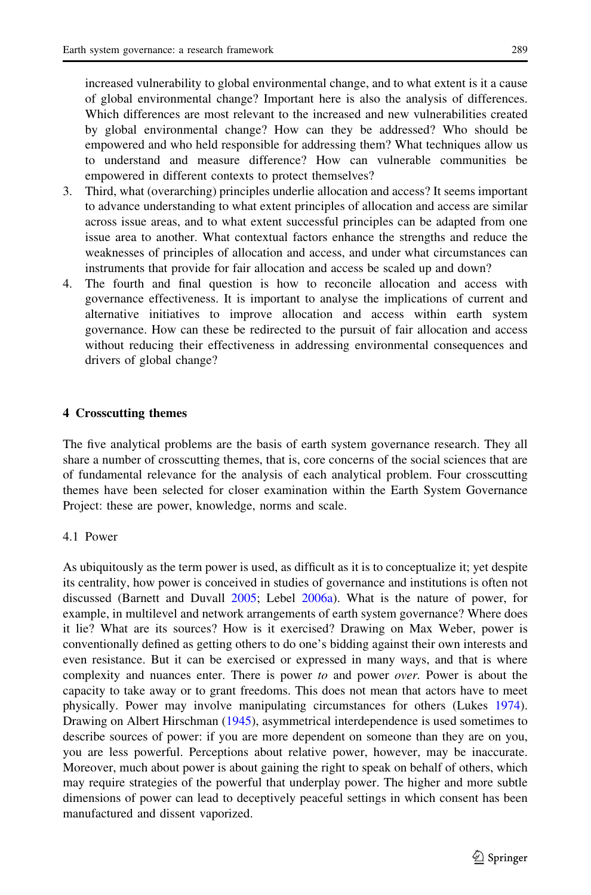<span id="page-12-0"></span>increased vulnerability to global environmental change, and to what extent is it a cause of global environmental change? Important here is also the analysis of differences. Which differences are most relevant to the increased and new vulnerabilities created by global environmental change? How can they be addressed? Who should be empowered and who held responsible for addressing them? What techniques allow us to understand and measure difference? How can vulnerable communities be empowered in different contexts to protect themselves?

- 3. Third, what (overarching) principles underlie allocation and access? It seems important to advance understanding to what extent principles of allocation and access are similar across issue areas, and to what extent successful principles can be adapted from one issue area to another. What contextual factors enhance the strengths and reduce the weaknesses of principles of allocation and access, and under what circumstances can instruments that provide for fair allocation and access be scaled up and down?
- 4. The fourth and final question is how to reconcile allocation and access with governance effectiveness. It is important to analyse the implications of current and alternative initiatives to improve allocation and access within earth system governance. How can these be redirected to the pursuit of fair allocation and access without reducing their effectiveness in addressing environmental consequences and drivers of global change?

# 4 Crosscutting themes

The five analytical problems are the basis of earth system governance research. They all share a number of crosscutting themes, that is, core concerns of the social sciences that are of fundamental relevance for the analysis of each analytical problem. Four crosscutting themes have been selected for closer examination within the Earth System Governance Project: these are power, knowledge, norms and scale.

# 4.1 Power

As ubiquitously as the term power is used, as difficult as it is to conceptualize it; yet despite its centrality, how power is conceived in studies of governance and institutions is often not discussed (Barnett and Duvall [2005;](#page-16-0) Lebel [2006a\)](#page-19-0). What is the nature of power, for example, in multilevel and network arrangements of earth system governance? Where does it lie? What are its sources? How is it exercised? Drawing on Max Weber, power is conventionally defined as getting others to do one's bidding against their own interests and even resistance. But it can be exercised or expressed in many ways, and that is where complexity and nuances enter. There is power to and power over. Power is about the capacity to take away or to grant freedoms. This does not mean that actors have to meet physically. Power may involve manipulating circumstances for others (Lukes [1974](#page-19-0)). Drawing on Albert Hirschman [\(1945](#page-18-0)), asymmetrical interdependence is used sometimes to describe sources of power: if you are more dependent on someone than they are on you, you are less powerful. Perceptions about relative power, however, may be inaccurate. Moreover, much about power is about gaining the right to speak on behalf of others, which may require strategies of the powerful that underplay power. The higher and more subtle dimensions of power can lead to deceptively peaceful settings in which consent has been manufactured and dissent vaporized.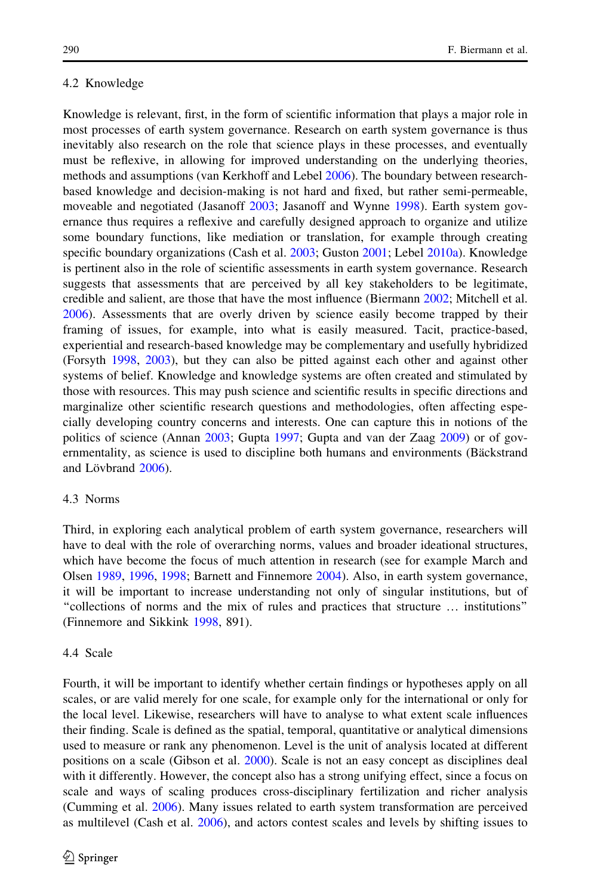# 4.2 Knowledge

Knowledge is relevant, first, in the form of scientific information that plays a major role in most processes of earth system governance. Research on earth system governance is thus inevitably also research on the role that science plays in these processes, and eventually must be reflexive, in allowing for improved understanding on the underlying theories, methods and assumptions (van Kerkhoff and Lebel [2006](#page-21-0)). The boundary between researchbased knowledge and decision-making is not hard and fixed, but rather semi-permeable, moveable and negotiated (Jasanoff [2003](#page-18-0); Jasanoff and Wynne [1998](#page-18-0)). Earth system governance thus requires a reflexive and carefully designed approach to organize and utilize some boundary functions, like mediation or translation, for example through creating specific boundary organizations (Cash et al. [2003;](#page-17-0) Guston [2001;](#page-18-0) Lebel [2010a\)](#page-19-0). Knowledge is pertinent also in the role of scientific assessments in earth system governance. Research suggests that assessments that are perceived by all key stakeholders to be legitimate, credible and salient, are those that have the most influence (Biermann [2002](#page-16-0); Mitchell et al. [2006\)](#page-19-0). Assessments that are overly driven by science easily become trapped by their framing of issues, for example, into what is easily measured. Tacit, practice-based, experiential and research-based knowledge may be complementary and usefully hybridized (Forsyth [1998,](#page-17-0) [2003](#page-17-0)), but they can also be pitted against each other and against other systems of belief. Knowledge and knowledge systems are often created and stimulated by those with resources. This may push science and scientific results in specific directions and marginalize other scientific research questions and methodologies, often affecting especially developing country concerns and interests. One can capture this in notions of the politics of science (Annan [2003](#page-15-0); Gupta [1997;](#page-18-0) Gupta and van der Zaag [2009](#page-18-0)) or of governmentality, as science is used to discipline both humans and environments (Bäckstrand and Lövbrand [2006\)](#page-15-0).

# 4.3 Norms

Third, in exploring each analytical problem of earth system governance, researchers will have to deal with the role of overarching norms, values and broader ideational structures, which have become the focus of much attention in research (see for example March and Olsen [1989,](#page-19-0) [1996,](#page-19-0) [1998;](#page-19-0) Barnett and Finnemore [2004](#page-16-0)). Also, in earth system governance, it will be important to increase understanding not only of singular institutions, but of ''collections of norms and the mix of rules and practices that structure … institutions'' (Finnemore and Sikkink [1998,](#page-17-0) 891).

### 4.4 Scale

Fourth, it will be important to identify whether certain findings or hypotheses apply on all scales, or are valid merely for one scale, for example only for the international or only for the local level. Likewise, researchers will have to analyse to what extent scale influences their finding. Scale is defined as the spatial, temporal, quantitative or analytical dimensions used to measure or rank any phenomenon. Level is the unit of analysis located at different positions on a scale (Gibson et al. [2000\)](#page-18-0). Scale is not an easy concept as disciplines deal with it differently. However, the concept also has a strong unifying effect, since a focus on scale and ways of scaling produces cross-disciplinary fertilization and richer analysis (Cumming et al. [2006](#page-17-0)). Many issues related to earth system transformation are perceived as multilevel (Cash et al. [2006\)](#page-17-0), and actors contest scales and levels by shifting issues to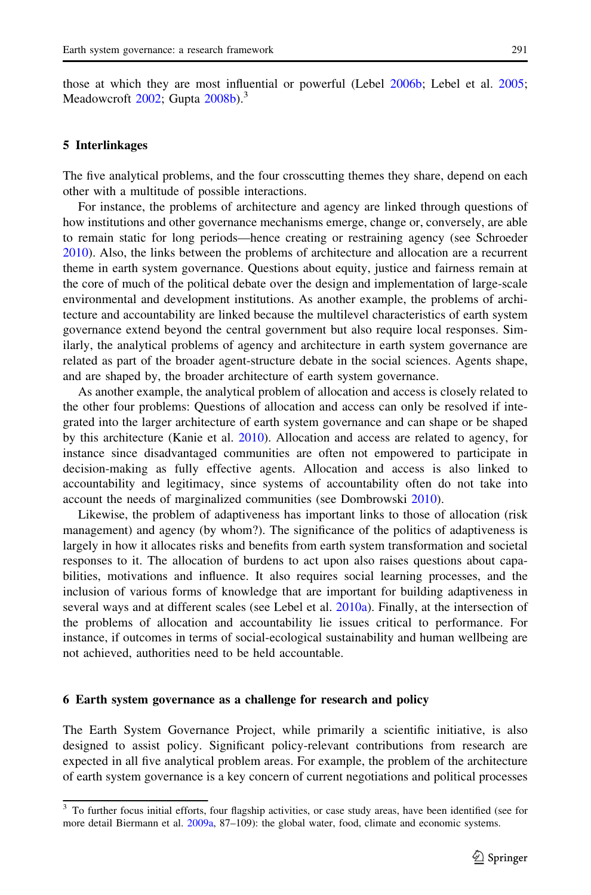<span id="page-14-0"></span>those at which they are most influential or powerful (Lebel [2006b;](#page-19-0) Lebel et al. [2005;](#page-19-0) Meadowcroft  $2002$ ; Gupta  $2008b$ ).<sup>3</sup>

#### 5 Interlinkages

The five analytical problems, and the four crosscutting themes they share, depend on each other with a multitude of possible interactions.

For instance, the problems of architecture and agency are linked through questions of how institutions and other governance mechanisms emerge, change or, conversely, are able to remain static for long periods—hence creating or restraining agency (see Schroeder [2010\)](#page-20-0). Also, the links between the problems of architecture and allocation are a recurrent theme in earth system governance. Questions about equity, justice and fairness remain at the core of much of the political debate over the design and implementation of large-scale environmental and development institutions. As another example, the problems of architecture and accountability are linked because the multilevel characteristics of earth system governance extend beyond the central government but also require local responses. Similarly, the analytical problems of agency and architecture in earth system governance are related as part of the broader agent-structure debate in the social sciences. Agents shape, and are shaped by, the broader architecture of earth system governance.

As another example, the analytical problem of allocation and access is closely related to the other four problems: Questions of allocation and access can only be resolved if integrated into the larger architecture of earth system governance and can shape or be shaped by this architecture (Kanie et al. [2010](#page-18-0)). Allocation and access are related to agency, for instance since disadvantaged communities are often not empowered to participate in decision-making as fully effective agents. Allocation and access is also linked to accountability and legitimacy, since systems of accountability often do not take into account the needs of marginalized communities (see Dombrowski [2010\)](#page-17-0).

Likewise, the problem of adaptiveness has important links to those of allocation (risk management) and agency (by whom?). The significance of the politics of adaptiveness is largely in how it allocates risks and benefits from earth system transformation and societal responses to it. The allocation of burdens to act upon also raises questions about capabilities, motivations and influence. It also requires social learning processes, and the inclusion of various forms of knowledge that are important for building adaptiveness in several ways and at different scales (see Lebel et al. [2010a](#page-19-0)). Finally, at the intersection of the problems of allocation and accountability lie issues critical to performance. For instance, if outcomes in terms of social-ecological sustainability and human wellbeing are not achieved, authorities need to be held accountable.

# 6 Earth system governance as a challenge for research and policy

The Earth System Governance Project, while primarily a scientific initiative, is also designed to assist policy. Significant policy-relevant contributions from research are expected in all five analytical problem areas. For example, the problem of the architecture of earth system governance is a key concern of current negotiations and political processes

<sup>&</sup>lt;sup>3</sup> To further focus initial efforts, four flagship activities, or case study areas, have been identified (see for more detail Biermann et al. [2009a,](#page-16-0) 87-109): the global water, food, climate and economic systems.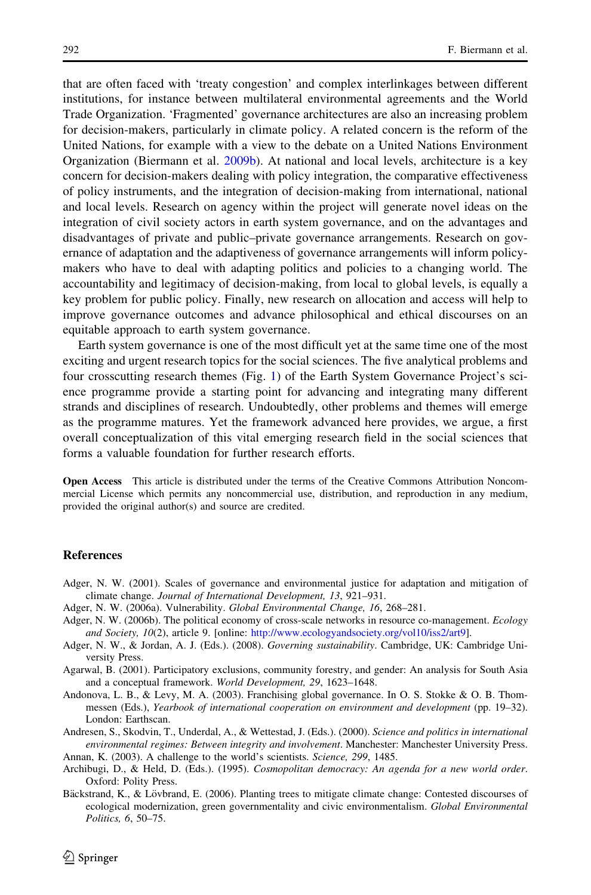<span id="page-15-0"></span>that are often faced with 'treaty congestion' and complex interlinkages between different institutions, for instance between multilateral environmental agreements and the World Trade Organization. 'Fragmented' governance architectures are also an increasing problem for decision-makers, particularly in climate policy. A related concern is the reform of the United Nations, for example with a view to the debate on a United Nations Environment Organization (Biermann et al. [2009b](#page-16-0)). At national and local levels, architecture is a key concern for decision-makers dealing with policy integration, the comparative effectiveness of policy instruments, and the integration of decision-making from international, national and local levels. Research on agency within the project will generate novel ideas on the integration of civil society actors in earth system governance, and on the advantages and disadvantages of private and public–private governance arrangements. Research on governance of adaptation and the adaptiveness of governance arrangements will inform policymakers who have to deal with adapting politics and policies to a changing world. The accountability and legitimacy of decision-making, from local to global levels, is equally a key problem for public policy. Finally, new research on allocation and access will help to improve governance outcomes and advance philosophical and ethical discourses on an equitable approach to earth system governance.

Earth system governance is one of the most difficult yet at the same time one of the most exciting and urgent research topics for the social sciences. The five analytical problems and four crosscutting research themes (Fig. [1\)](#page-3-0) of the Earth System Governance Project's science programme provide a starting point for advancing and integrating many different strands and disciplines of research. Undoubtedly, other problems and themes will emerge as the programme matures. Yet the framework advanced here provides, we argue, a first overall conceptualization of this vital emerging research field in the social sciences that forms a valuable foundation for further research efforts.

Open Access This article is distributed under the terms of the Creative Commons Attribution Noncommercial License which permits any noncommercial use, distribution, and reproduction in any medium, provided the original author(s) and source are credited.

# **References**

- Adger, N. W. (2001). Scales of governance and environmental justice for adaptation and mitigation of climate change. Journal of International Development, 13, 921–931.
- Adger, N. W. (2006a). Vulnerability. Global Environmental Change, 16, 268–281.
- Adger, N. W. (2006b). The political economy of cross-scale networks in resource co-management. *Ecology* and Society, 10(2), article 9. [online: [http://www.ecologyandsociety.org/vol10/iss2/art9\]](http://www.ecologyandsociety.org/vol10/iss2/art9).
- Adger, N. W., & Jordan, A. J. (Eds.). (2008). Governing sustainability. Cambridge, UK: Cambridge University Press.
- Agarwal, B. (2001). Participatory exclusions, community forestry, and gender: An analysis for South Asia and a conceptual framework. World Development, 29, 1623–1648.
- Andonova, L. B., & Levy, M. A. (2003). Franchising global governance. In O. S. Stokke & O. B. Thommessen (Eds.), Yearbook of international cooperation on environment and development (pp. 19–32). London: Earthscan.
- Andresen, S., Skodvin, T., Underdal, A., & Wettestad, J. (Eds.). (2000). Science and politics in international environmental regimes: Between integrity and involvement. Manchester: Manchester University Press. Annan, K. (2003). A challenge to the world's scientists. Science, 299, 1485.
- Archibugi, D., & Held, D. (Eds.). (1995). Cosmopolitan democracy: An agenda for a new world order. Oxford: Polity Press.
- Bäckstrand, K., & Lövbrand, E. (2006). Planting trees to mitigate climate change: Contested discourses of ecological modernization, green governmentality and civic environmentalism. Global Environmental Politics, 6, 50–75.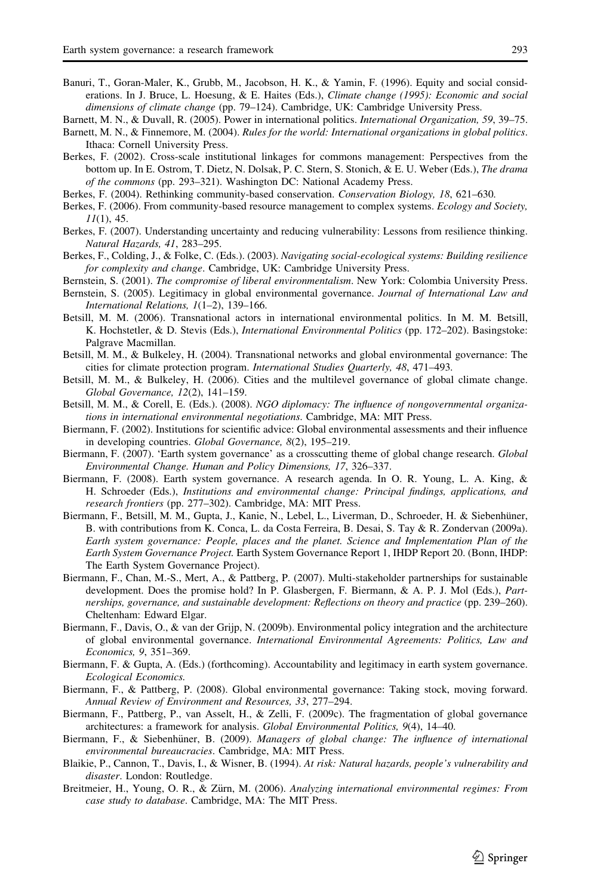- <span id="page-16-0"></span>Banuri, T., Goran-Maler, K., Grubb, M., Jacobson, H. K., & Yamin, F. (1996). Equity and social considerations. In J. Bruce, L. Hoesung, & E. Haites (Eds.), Climate change (1995): Economic and social dimensions of climate change (pp. 79–124). Cambridge, UK: Cambridge University Press.
- Barnett, M. N., & Duvall, R. (2005). Power in international politics. International Organization, 59, 39–75. Barnett, M. N., & Finnemore, M. (2004). Rules for the world: International organizations in global politics.
- Ithaca: Cornell University Press.
- Berkes, F. (2002). Cross-scale institutional linkages for commons management: Perspectives from the bottom up. In E. Ostrom, T. Dietz, N. Dolsak, P. C. Stern, S. Stonich, & E. U. Weber (Eds.), The drama of the commons (pp. 293–321). Washington DC: National Academy Press.
- Berkes, F. (2004). Rethinking community-based conservation. Conservation Biology, 18, 621–630.
- Berkes, F. (2006). From community-based resource management to complex systems. Ecology and Society,  $11(1)$ , 45.
- Berkes, F. (2007). Understanding uncertainty and reducing vulnerability: Lessons from resilience thinking. Natural Hazards, 41, 283–295.
- Berkes, F., Colding, J., & Folke, C. (Eds.). (2003). Navigating social-ecological systems: Building resilience for complexity and change. Cambridge, UK: Cambridge University Press.
- Bernstein, S. (2001). The compromise of liberal environmentalism. New York: Colombia University Press.
- Bernstein, S. (2005). Legitimacy in global environmental governance. Journal of International Law and International Relations, 1(1–2), 139–166.
- Betsill, M. M. (2006). Transnational actors in international environmental politics. In M. M. Betsill, K. Hochstetler, & D. Stevis (Eds.), International Environmental Politics (pp. 172–202). Basingstoke: Palgrave Macmillan.
- Betsill, M. M., & Bulkeley, H. (2004). Transnational networks and global environmental governance: The cities for climate protection program. International Studies Quarterly, 48, 471–493.
- Betsill, M. M., & Bulkeley, H. (2006). Cities and the multilevel governance of global climate change. Global Governance, 12(2), 141–159.
- Betsill, M. M., & Corell, E. (Eds.). (2008). NGO diplomacy: The influence of nongovernmental organizations in international environmental negotiations. Cambridge, MA: MIT Press.
- Biermann, F. (2002). Institutions for scientific advice: Global environmental assessments and their influence in developing countries. Global Governance, 8(2), 195–219.
- Biermann, F. (2007). 'Earth system governance' as a crosscutting theme of global change research. Global Environmental Change. Human and Policy Dimensions, 17, 326–337.
- Biermann, F. (2008). Earth system governance. A research agenda. In O. R. Young, L. A. King, & H. Schroeder (Eds.), Institutions and environmental change: Principal findings, applications, and research frontiers (pp. 277–302). Cambridge, MA: MIT Press.
- Biermann, F., Betsill, M. M., Gupta, J., Kanie, N., Lebel, L., Liverman, D., Schroeder, H. & Siebenhüner, B. with contributions from K. Conca, L. da Costa Ferreira, B. Desai, S. Tay & R. Zondervan (2009a). Earth system governance: People, places and the planet. Science and Implementation Plan of the Earth System Governance Project. Earth System Governance Report 1, IHDP Report 20. (Bonn, IHDP: The Earth System Governance Project).
- Biermann, F., Chan, M.-S., Mert, A., & Pattberg, P. (2007). Multi-stakeholder partnerships for sustainable development. Does the promise hold? In P. Glasbergen, F. Biermann, & A. P. J. Mol (Eds.), Partnerships, governance, and sustainable development: Reflections on theory and practice (pp. 239–260). Cheltenham: Edward Elgar.
- Biermann, F., Davis, O., & van der Grijp, N. (2009b). Environmental policy integration and the architecture of global environmental governance. International Environmental Agreements: Politics, Law and Economics, 9, 351–369.
- Biermann, F. & Gupta, A. (Eds.) (forthcoming). Accountability and legitimacy in earth system governance. Ecological Economics.
- Biermann, F., & Pattberg, P. (2008). Global environmental governance: Taking stock, moving forward. Annual Review of Environment and Resources, 33, 277–294.
- Biermann, F., Pattberg, P., van Asselt, H., & Zelli, F. (2009c). The fragmentation of global governance architectures: a framework for analysis. Global Environmental Politics, 9(4), 14–40.
- Biermann, F., & Siebenhüner, B. (2009). Managers of global change: The influence of international environmental bureaucracies. Cambridge, MA: MIT Press.
- Blaikie, P., Cannon, T., Davis, I., & Wisner, B. (1994). At risk: Natural hazards, people's vulnerability and disaster. London: Routledge.
- Breitmeier, H., Young, O. R., & Zürn, M. (2006). Analyzing international environmental regimes: From case study to database. Cambridge, MA: The MIT Press.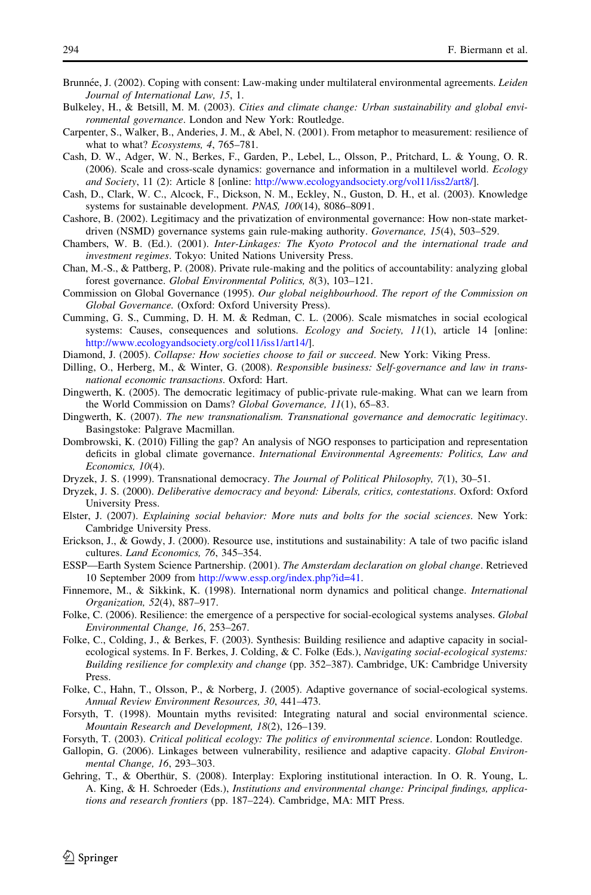- <span id="page-17-0"></span>Brunnée, J. (2002). Coping with consent: Law-making under multilateral environmental agreements. Leiden Journal of International Law, 15, 1.
- Bulkeley, H., & Betsill, M. M. (2003). Cities and climate change: Urban sustainability and global environmental governance. London and New York: Routledge.
- Carpenter, S., Walker, B., Anderies, J. M., & Abel, N. (2001). From metaphor to measurement: resilience of what to what? Ecosystems, 4, 765-781.
- Cash, D. W., Adger, W. N., Berkes, F., Garden, P., Lebel, L., Olsson, P., Pritchard, L. & Young, O. R. (2006). Scale and cross-scale dynamics: governance and information in a multilevel world. Ecology and Society, 11 (2): Article 8 [online: [http://www.ecologyandsociety.org/vol11/iss2/art8/\]](http://www.ecologyandsociety.org/vol11/iss2/art8/).
- Cash, D., Clark, W. C., Alcock, F., Dickson, N. M., Eckley, N., Guston, D. H., et al. (2003). Knowledge systems for sustainable development. PNAS, 100(14), 8086–8091.
- Cashore, B. (2002). Legitimacy and the privatization of environmental governance: How non-state marketdriven (NSMD) governance systems gain rule-making authority. Governance, 15(4), 503–529.
- Chambers, W. B. (Ed.). (2001). Inter-Linkages: The Kyoto Protocol and the international trade and investment regimes. Tokyo: United Nations University Press.
- Chan, M.-S., & Pattberg, P. (2008). Private rule-making and the politics of accountability: analyzing global forest governance. Global Environmental Politics, 8(3), 103–121.
- Commission on Global Governance (1995). Our global neighbourhood. The report of the Commission on Global Governance. (Oxford: Oxford University Press).
- Cumming, G. S., Cumming, D. H. M. & Redman, C. L. (2006). Scale mismatches in social ecological systems: Causes, consequences and solutions. *Ecology and Society*, 11(1), article 14 [online: <http://www.ecologyandsociety.org/col11/iss1/art14/>].

Diamond, J. (2005). Collapse: How societies choose to fail or succeed. New York: Viking Press.

- Dilling, O., Herberg, M., & Winter, G. (2008). Responsible business: Self-governance and law in transnational economic transactions. Oxford: Hart.
- Dingwerth, K. (2005). The democratic legitimacy of public-private rule-making. What can we learn from the World Commission on Dams? Global Governance, 11(1), 65–83.
- Dingwerth, K. (2007). The new transnationalism. Transnational governance and democratic legitimacy. Basingstoke: Palgrave Macmillan.
- Dombrowski, K. (2010) Filling the gap? An analysis of NGO responses to participation and representation deficits in global climate governance. International Environmental Agreements: Politics, Law and Economics, 10(4).
- Dryzek, J. S. (1999). Transnational democracy. The Journal of Political Philosophy, 7(1), 30–51.
- Dryzek, J. S. (2000). Deliberative democracy and beyond: Liberals, critics, contestations. Oxford: Oxford University Press.
- Elster, J. (2007). Explaining social behavior: More nuts and bolts for the social sciences. New York: Cambridge University Press.
- Erickson, J., & Gowdy, J. (2000). Resource use, institutions and sustainability: A tale of two pacific island cultures. Land Economics, 76, 345–354.
- ESSP—Earth System Science Partnership. (2001). The Amsterdam declaration on global change. Retrieved 10 September 2009 from <http://www.essp.org/index.php?id=41>.
- Finnemore, M., & Sikkink, K. (1998). International norm dynamics and political change. *International* Organization, 52(4), 887–917.
- Folke, C. (2006). Resilience: the emergence of a perspective for social-ecological systems analyses. Global Environmental Change, 16, 253–267.
- Folke, C., Colding, J., & Berkes, F. (2003). Synthesis: Building resilience and adaptive capacity in socialecological systems. In F. Berkes, J. Colding, & C. Folke (Eds.), Navigating social-ecological systems: Building resilience for complexity and change (pp. 352–387). Cambridge, UK: Cambridge University Press.
- Folke, C., Hahn, T., Olsson, P., & Norberg, J. (2005). Adaptive governance of social-ecological systems. Annual Review Environment Resources, 30, 441–473.
- Forsyth, T. (1998). Mountain myths revisited: Integrating natural and social environmental science. Mountain Research and Development, 18(2), 126–139.
- Forsyth, T. (2003). Critical political ecology: The politics of environmental science. London: Routledge.
- Gallopin, G. (2006). Linkages between vulnerability, resilience and adaptive capacity. Global Environmental Change, 16, 293–303.
- Gehring, T., & Oberthür, S. (2008). Interplay: Exploring institutional interaction. In O. R. Young, L. A. King, & H. Schroeder (Eds.), Institutions and environmental change: Principal findings, applications and research frontiers (pp. 187–224). Cambridge, MA: MIT Press.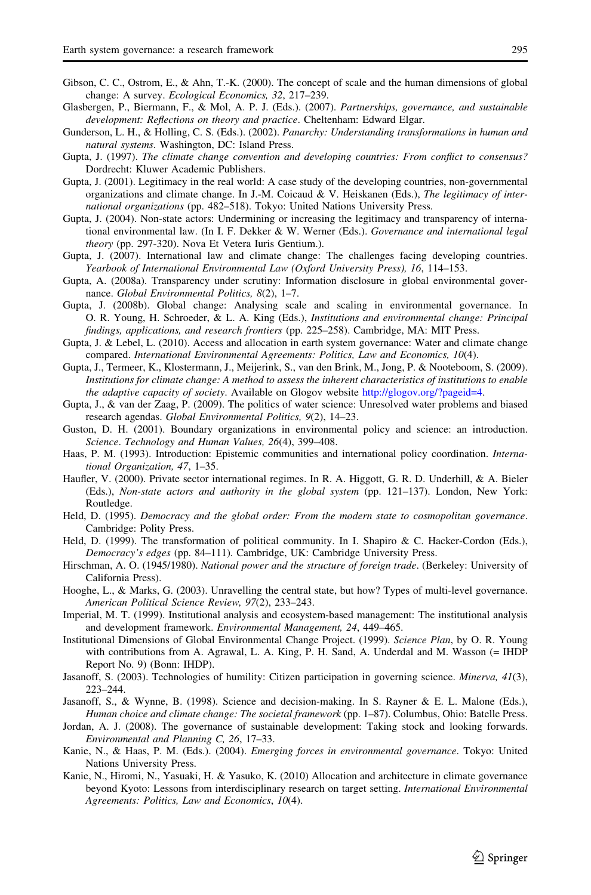- <span id="page-18-0"></span>Gibson, C. C., Ostrom, E., & Ahn, T.-K. (2000). The concept of scale and the human dimensions of global change: A survey. Ecological Economics, 32, 217–239.
- Glasbergen, P., Biermann, F., & Mol, A. P. J. (Eds.). (2007). Partnerships, governance, and sustainable development: Reflections on theory and practice. Cheltenham: Edward Elgar.
- Gunderson, L. H., & Holling, C. S. (Eds.). (2002). Panarchy: Understanding transformations in human and natural systems. Washington, DC: Island Press.
- Gupta, J. (1997). The climate change convention and developing countries: From conflict to consensus? Dordrecht: Kluwer Academic Publishers.
- Gupta, J. (2001). Legitimacy in the real world: A case study of the developing countries, non-governmental organizations and climate change. In J.-M. Coicaud & V. Heiskanen (Eds.), The legitimacy of international organizations (pp. 482–518). Tokyo: United Nations University Press.
- Gupta, J. (2004). Non-state actors: Undermining or increasing the legitimacy and transparency of international environmental law. (In I. F. Dekker & W. Werner (Eds.). Governance and international legal theory (pp. 297-320). Nova Et Vetera Iuris Gentium.).
- Gupta, J. (2007). International law and climate change: The challenges facing developing countries. Yearbook of International Environmental Law (Oxford University Press), 16, 114–153.
- Gupta, A. (2008a). Transparency under scrutiny: Information disclosure in global environmental governance. Global Environmental Politics, 8(2), 1-7.
- Gupta, J. (2008b). Global change: Analysing scale and scaling in environmental governance. In O. R. Young, H. Schroeder, & L. A. King (Eds.), Institutions and environmental change: Principal findings, applications, and research frontiers (pp. 225–258). Cambridge, MA: MIT Press.
- Gupta, J. & Lebel, L. (2010). Access and allocation in earth system governance: Water and climate change compared. International Environmental Agreements: Politics, Law and Economics, 10(4).
- Gupta, J., Termeer, K., Klostermann, J., Meijerink, S., van den Brink, M., Jong, P. & Nooteboom, S. (2009). Institutions for climate change: A method to assess the inherent characteristics of institutions to enable the adaptive capacity of society. Available on Glogov website [http://glogov.org/?pageid=4.](http://glogov.org/?pageid=4)
- Gupta, J., & van der Zaag, P. (2009). The politics of water science: Unresolved water problems and biased research agendas. Global Environmental Politics, 9(2), 14–23.
- Guston, D. H. (2001). Boundary organizations in environmental policy and science: an introduction. Science. Technology and Human Values, 26(4), 399–408.
- Haas, P. M. (1993). Introduction: Epistemic communities and international policy coordination. International Organization, 47, 1–35.
- Haufler, V. (2000). Private sector international regimes. In R. A. Higgott, G. R. D. Underhill, & A. Bieler (Eds.), Non-state actors and authority in the global system (pp. 121–137). London, New York: Routledge.
- Held, D. (1995). Democracy and the global order: From the modern state to cosmopolitan governance. Cambridge: Polity Press.
- Held, D. (1999). The transformation of political community. In I. Shapiro & C. Hacker-Cordon (Eds.), Democracy's edges (pp. 84–111). Cambridge, UK: Cambridge University Press.
- Hirschman, A. O. (1945/1980). National power and the structure of foreign trade. (Berkeley: University of California Press).
- Hooghe, L., & Marks, G. (2003). Unravelling the central state, but how? Types of multi-level governance. American Political Science Review, 97(2), 233–243.
- Imperial, M. T. (1999). Institutional analysis and ecosystem-based management: The institutional analysis and development framework. Environmental Management, 24, 449–465.
- Institutional Dimensions of Global Environmental Change Project. (1999). Science Plan, by O. R. Young with contributions from A. Agrawal, L. A. King, P. H. Sand, A. Underdal and M. Wasson (= IHDP Report No. 9) (Bonn: IHDP).
- Jasanoff, S. (2003). Technologies of humility: Citizen participation in governing science. Minerva, 41(3), 223–244.
- Jasanoff, S., & Wynne, B. (1998). Science and decision-making. In S. Rayner & E. L. Malone (Eds.), Human choice and climate change: The societal framework (pp. 1–87). Columbus, Ohio: Batelle Press.
- Jordan, A. J. (2008). The governance of sustainable development: Taking stock and looking forwards. Environmental and Planning C, 26, 17–33.
- Kanie, N., & Haas, P. M. (Eds.). (2004). *Emerging forces in environmental governance*. Tokyo: United Nations University Press.
- Kanie, N., Hiromi, N., Yasuaki, H. & Yasuko, K. (2010) Allocation and architecture in climate governance beyond Kyoto: Lessons from interdisciplinary research on target setting. International Environmental Agreements: Politics, Law and Economics, 10(4).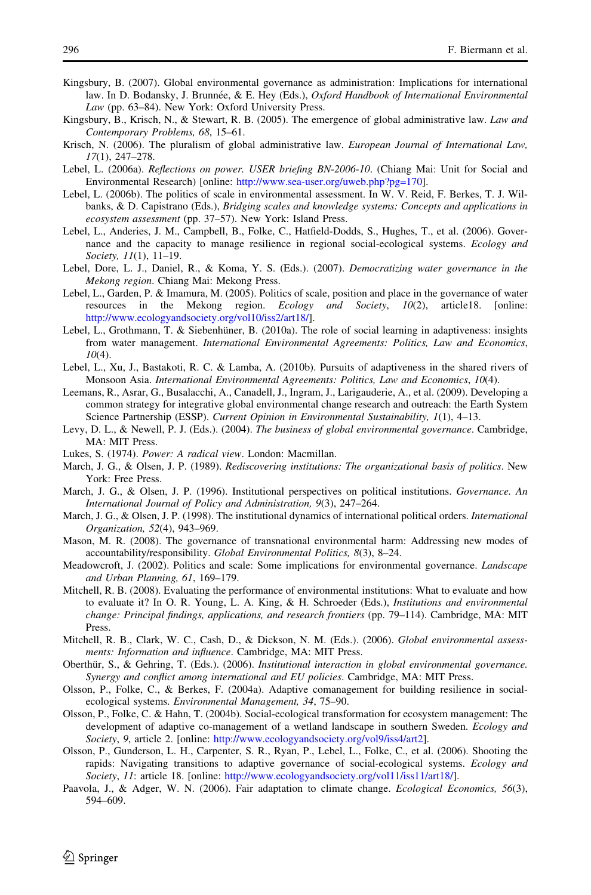- <span id="page-19-0"></span>Kingsbury, B. (2007). Global environmental governance as administration: Implications for international law. In D. Bodansky, J. Brunnée, & E. Hey (Eds.), Oxford Handbook of International Environmental Law (pp. 63–84). New York: Oxford University Press.
- Kingsbury, B., Krisch, N., & Stewart, R. B. (2005). The emergence of global administrative law. Law and Contemporary Problems, 68, 15–61.
- Krisch, N. (2006). The pluralism of global administrative law. *European Journal of International Law*, 17(1), 247–278.
- Lebel, L. (2006a). Reflections on power. USER briefing BN-2006-10. (Chiang Mai: Unit for Social and Environmental Research) [online: <http://www.sea-user.org/uweb.php?pg=170>].
- Lebel, L. (2006b). The politics of scale in environmental assessment. In W. V. Reid, F. Berkes, T. J. Wilbanks, & D. Capistrano (Eds.), Bridging scales and knowledge systems: Concepts and applications in ecosystem assessment (pp. 37–57). New York: Island Press.
- Lebel, L., Anderies, J. M., Campbell, B., Folke, C., Hatfield-Dodds, S., Hughes, T., et al. (2006). Governance and the capacity to manage resilience in regional social-ecological systems. Ecology and Society, 11(1), 11–19.
- Lebel, Dore, L. J., Daniel, R., & Koma, Y. S. (Eds.). (2007). Democratizing water governance in the Mekong region. Chiang Mai: Mekong Press.
- Lebel, L., Garden, P. & Imamura, M. (2005). Politics of scale, position and place in the governance of water resources in the Mekong region. *Ecology and Society*, 10(2), article18. [online: [http://www.ecologyandsociety.org/vol10/iss2/art18/\]](http://www.ecologyandsociety.org/vol10/iss2/art18/).
- Lebel, L., Grothmann, T. & Siebenhüner, B. (2010a). The role of social learning in adaptiveness: insights from water management. International Environmental Agreements: Politics, Law and Economics,  $10(4)$ .
- Lebel, L., Xu, J., Bastakoti, R. C. & Lamba, A. (2010b). Pursuits of adaptiveness in the shared rivers of Monsoon Asia. International Environmental Agreements: Politics, Law and Economics, 10(4).
- Leemans, R., Asrar, G., Busalacchi, A., Canadell, J., Ingram, J., Larigauderie, A., et al. (2009). Developing a common strategy for integrative global environmental change research and outreach: the Earth System Science Partnership (ESSP). Current Opinion in Environmental Sustainability, 1(1), 4–13.
- Levy, D. L., & Newell, P. J. (Eds.). (2004). The business of global environmental governance. Cambridge, MA: MIT Press.
- Lukes, S. (1974). Power: A radical view. London: Macmillan.
- March, J. G., & Olsen, J. P. (1989). Rediscovering institutions: The organizational basis of politics. New York: Free Press.
- March, J. G., & Olsen, J. P. (1996). Institutional perspectives on political institutions. Governance. An International Journal of Policy and Administration, 9(3), 247–264.
- March, J. G., & Olsen, J. P. (1998). The institutional dynamics of international political orders. International Organization, 52(4), 943–969.
- Mason, M. R. (2008). The governance of transnational environmental harm: Addressing new modes of accountability/responsibility. Global Environmental Politics, 8(3), 8–24.
- Meadowcroft, J. (2002). Politics and scale: Some implications for environmental governance. *Landscape* and Urban Planning, 61, 169–179.
- Mitchell, R. B. (2008). Evaluating the performance of environmental institutions: What to evaluate and how to evaluate it? In O. R. Young, L. A. King, & H. Schroeder (Eds.), Institutions and environmental change: Principal findings, applications, and research frontiers (pp. 79–114). Cambridge, MA: MIT Press.
- Mitchell, R. B., Clark, W. C., Cash, D., & Dickson, N. M. (Eds.). (2006). Global environmental assessments: Information and influence. Cambridge, MA: MIT Press.
- Oberthür, S., & Gehring, T. (Eds.). (2006). Institutional interaction in global environmental governance. Synergy and conflict among international and EU policies. Cambridge, MA: MIT Press.
- Olsson, P., Folke, C., & Berkes, F. (2004a). Adaptive comanagement for building resilience in socialecological systems. Environmental Management, 34, 75–90.
- Olsson, P., Folke, C. & Hahn, T. (2004b). Social-ecological transformation for ecosystem management: The development of adaptive co-management of a wetland landscape in southern Sweden. Ecology and Society, 9, article 2. [online: [http://www.ecologyandsociety.org/vol9/iss4/art2\]](http://www.ecologyandsociety.org/vol9/iss4/art2).
- Olsson, P., Gunderson, L. H., Carpenter, S. R., Ryan, P., Lebel, L., Folke, C., et al. (2006). Shooting the rapids: Navigating transitions to adaptive governance of social-ecological systems. Ecology and Society, 11: article 18. [online: <http://www.ecologyandsociety.org/vol11/iss11/art18/>].
- Paavola, J., & Adger, W. N. (2006). Fair adaptation to climate change. *Ecological Economics*, 56(3), 594–609.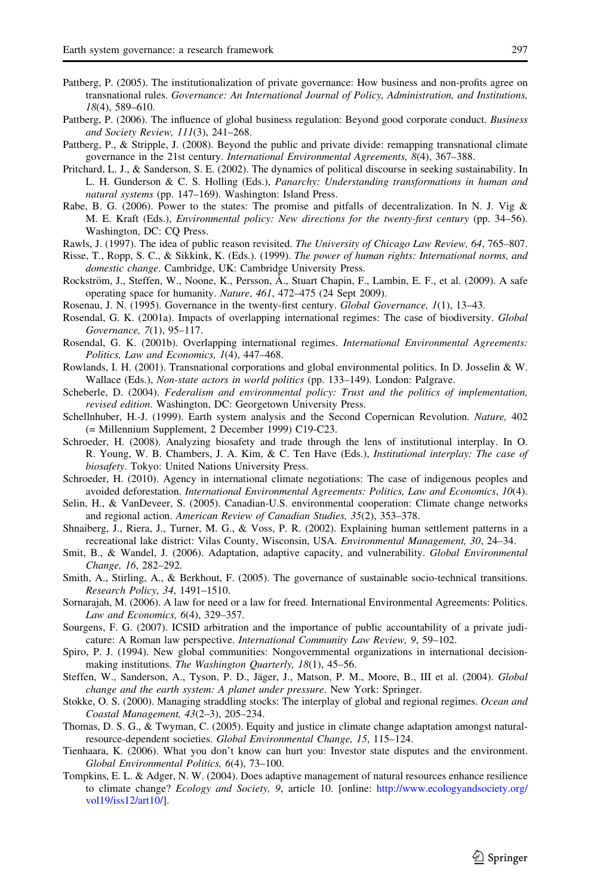- <span id="page-20-0"></span>Pattberg, P. (2005). The institutionalization of private governance: How business and non-profits agree on transnational rules. Governance: An International Journal of Policy, Administration, and Institutions, 18(4), 589–610.
- Pattberg, P. (2006). The influence of global business regulation: Beyond good corporate conduct. Business and Society Review, 111(3), 241–268.
- Pattberg, P., & Stripple, J. (2008). Beyond the public and private divide: remapping transnational climate governance in the 21st century. International Environmental Agreements, 8(4), 367–388.
- Pritchard, L. J., & Sanderson, S. E. (2002). The dynamics of political discourse in seeking sustainability. In L. H. Gunderson & C. S. Holling (Eds.), Panarchy: Understanding transformations in human and natural systems (pp. 147–169). Washington: Island Press.
- Rabe, B. G. (2006). Power to the states: The promise and pitfalls of decentralization. In N. J. Vig & M. E. Kraft (Eds.), Environmental policy: New directions for the twenty-first century (pp. 34–56). Washington, DC: CQ Press.
- Rawls, J. (1997). The idea of public reason revisited. The University of Chicago Law Review, 64, 765–807.
- Risse, T., Ropp, S. C., & Sikkink, K. (Eds.). (1999). The power of human rights: International norms, and domestic change. Cambridge, UK: Cambridge University Press.
- Rockström, J., Steffen, W., Noone, K., Persson, Å., Stuart Chapin, F., Lambin, E. F., et al. (2009). A safe operating space for humanity. Nature, 461, 472–475 (24 Sept 2009).
- Rosenau, J. N. (1995). Governance in the twenty-first century. *Global Governance*, 1(1), 13–43.
- Rosendal, G. K. (2001a). Impacts of overlapping international regimes: The case of biodiversity. Global Governance, 7(1), 95–117.
- Rosendal, G. K. (2001b). Overlapping international regimes. International Environmental Agreements: Politics, Law and Economics, 1(4), 447–468.
- Rowlands, I. H. (2001). Transnational corporations and global environmental politics. In D. Josselin & W. Wallace (Eds.), Non-state actors in world politics (pp. 133-149). London: Palgrave.
- Scheberle, D. (2004). Federalism and environmental policy: Trust and the politics of implementation, revised edition. Washington, DC: Georgetown University Press.
- Schellnhuber, H.-J. (1999). Earth system analysis and the Second Copernican Revolution. Nature, 402 (= Millennium Supplement, 2 December 1999) C19-C23.
- Schroeder, H. (2008). Analyzing biosafety and trade through the lens of institutional interplay. In O. R. Young, W. B. Chambers, J. A. Kim, & C. Ten Have (Eds.), Institutional interplay: The case of biosafety. Tokyo: United Nations University Press.
- Schroeder, H. (2010). Agency in international climate negotiations: The case of indigenous peoples and avoided deforestation. International Environmental Agreements: Politics, Law and Economics, 10(4).
- Selin, H., & VanDeveer, S. (2005). Canadian-U.S. environmental cooperation: Climate change networks and regional action. American Review of Canadian Studies, 35(2), 353–378.
- Shnaiberg, J., Riera, J., Turner, M. G., & Voss, P. R. (2002). Explaining human settlement patterns in a recreational lake district: Vilas County, Wisconsin, USA. Environmental Management, 30, 24–34.
- Smit, B., & Wandel, J. (2006). Adaptation, adaptive capacity, and vulnerability. Global Environmental Change, 16, 282–292.
- Smith, A., Stirling, A., & Berkhout, F. (2005). The governance of sustainable socio-technical transitions. Research Policy, 34, 1491–1510.
- Sornarajah, M. (2006). A law for need or a law for freed. International Environmental Agreements: Politics. Law and Economics, 6(4), 329–357.
- Sourgens, F. G. (2007). ICSID arbitration and the importance of public accountability of a private judicature: A Roman law perspective. International Community Law Review, 9, 59–102.
- Spiro, P. J. (1994). New global communities: Nongovernmental organizations in international decisionmaking institutions. The Washington Quarterly, 18(1), 45–56.
- Steffen, W., Sanderson, A., Tyson, P. D., Jäger, J., Matson, P. M., Moore, B., III et al. (2004). Global change and the earth system: A planet under pressure. New York: Springer.
- Stokke, O. S. (2000). Managing straddling stocks: The interplay of global and regional regimes. Ocean and Coastal Management, 43(2–3), 205–234.
- Thomas, D. S. G., & Twyman, C. (2005). Equity and justice in climate change adaptation amongst naturalresource-dependent societies. Global Environmental Change, 15, 115–124.
- Tienhaara, K. (2006). What you don't know can hurt you: Investor state disputes and the environment. Global Environmental Politics, 6(4), 73–100.
- Tompkins, E. L. & Adger, N. W. (2004). Does adaptive management of natural resources enhance resilience to climate change? Ecology and Society, 9, article 10. [online: [http://www.ecologyandsociety.org/](http://www.ecologyandsociety.org/vol19/iss12/art10/) [vol19/iss12/art10/](http://www.ecologyandsociety.org/vol19/iss12/art10/)].